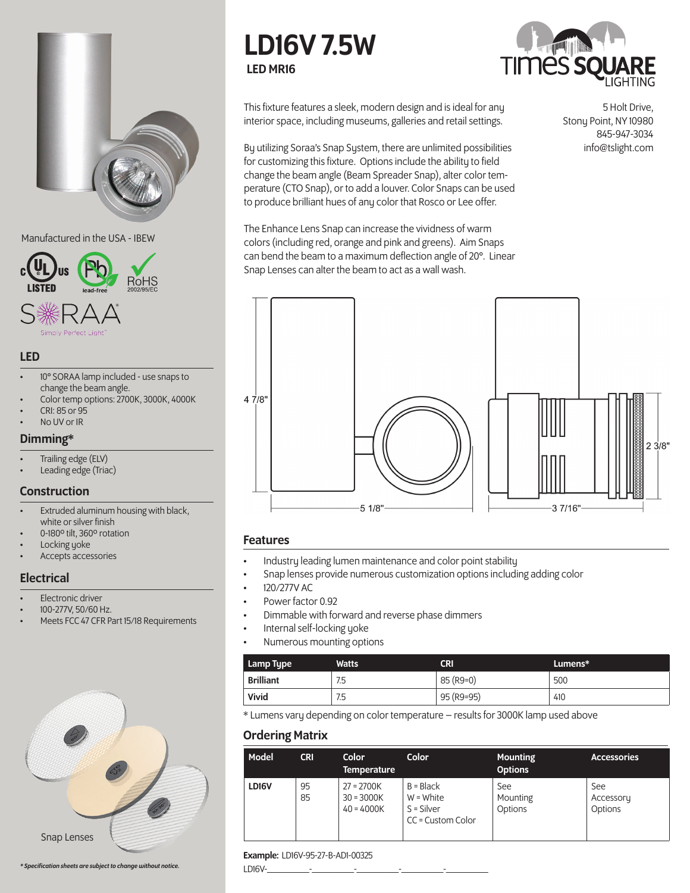

#### Manufactured in the USA - IBEW



## LED

- 10° SORAA lamp included use snaps to change the beam angle.
- Color temp options: 2700K, 3000K, 4000K
- CRI: 85 or 95
- No UV or IR

## Dimming\*

- Trailing edge (ELV)
- Leading edge (Triac)

## **Construction**

- Extruded aluminum housing with black, white or silver finish
- 0-180º tilt, 360º rotation
- Locking yoke
- Accepts accessories

## **Electrical**

- **Electronic driver**
- 100-277V, 50/60 Hz.
- Meets FCC 47 CFR Part 15/18 Requirements



#### *\* Specification sheets are subject to change without notice.*

# LD16V 7.5W LED MR16



This fixture features a sleek, modern design and is ideal for any interior space, including museums, galleries and retail settings.

By utilizing Soraa's Snap System, there are unlimited possibilities for customizing this fixture. Options include the ability to field change the beam angle (Beam Spreader Snap), alter color temperature (CTO Snap), or to add a louver. Color Snaps can be used to produce brilliant hues of any color that Rosco or Lee offer.

The Enhance Lens Snap can increase the vividness of warm colors (including red, orange and pink and greens). Aim Snaps can bend the beam to a maximum deflection angle of 20°. Linear Snap Lenses can alter the beam to act as a wall wash.

 $47/8"$  $23/8"$  $37/16'$  $-5$  1/8" $-$ 

## Features

- Industry leading lumen maintenance and color point stability
- Snap lenses provide numerous customization options including adding color
- 120/277V AC
- Power factor 0.92
- Dimmable with forward and reverse phase dimmers
- Internal self-locking yoke
- Numerous mounting options

| Lamp Type        | Watts | CRI        | Lumens* |
|------------------|-------|------------|---------|
| <b>Brilliant</b> | 7.5   | 85 (R9=0)  | 500     |
| Vivid            | 7.5   | 95 (R9=95) | 410     |

\* Lumens vary depending on color temperature – results for 3000K lamp used above

# Ordering Matrix

| Model | <b>CRI</b> | Color<br><b>Temperature</b>                  | <b>Color</b>                                                    | <b>Mounting</b><br><b>Options</b> | <b>Accessories</b>          |
|-------|------------|----------------------------------------------|-----------------------------------------------------------------|-----------------------------------|-----------------------------|
| LD16V | 95<br>85   | $27 = 2700K$<br>$30 = 3000K$<br>$40 = 4000K$ | $B = Black$<br>$W = White$<br>$S = Silver$<br>CC = Custom Color | See<br>Mounting<br>Options        | See<br>Accessory<br>Options |

#### Example: LD16V-95-27-B-AD1-00325

LD16V-\_\_\_\_\_\_\_\_\_-\_\_\_\_\_\_\_\_\_-\_\_\_\_\_\_\_\_\_-\_\_\_\_\_\_\_\_\_-\_\_\_\_\_\_\_\_\_

5 Holt Drive, Stony Point, NY 10980 845-947-3034 info@tslight.com